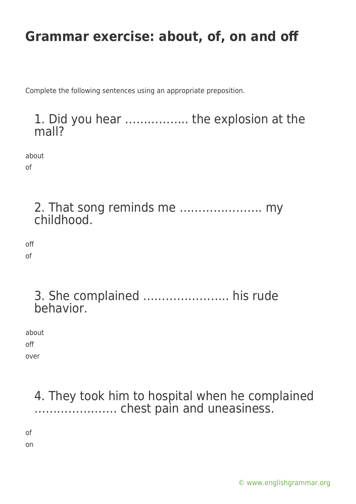Complete the following sentences using an appropriate preposition.

#### 1. Did you hear …………….. the explosion at the mall?

about

of

2. That song reminds me …………………. my childhood.

off of

> 3. She complained ………………….. his rude behavior.

about off over

> 4. They took him to hospital when he complained …………………. chest pain and uneasiness.

of

on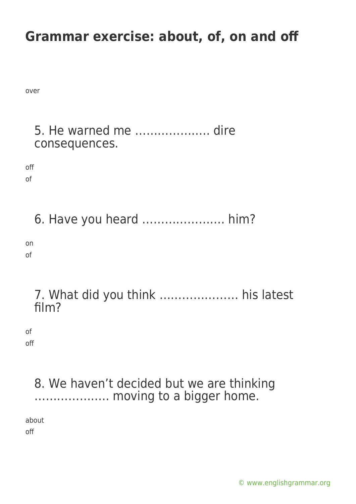over

# 5. He warned me ……………….. dire consequences. off of 6. Have you heard …………………. him? on of 7. What did you think ………………… his latest

of off

film?

### 8. We haven't decided but we are thinking ……………….. moving to a bigger home.

about

off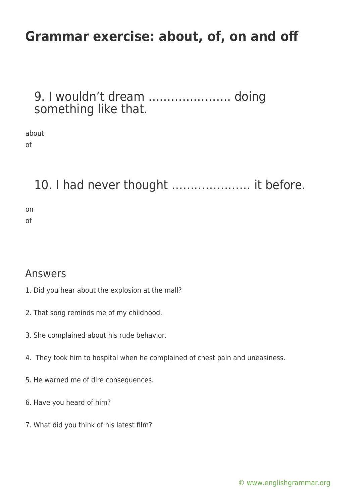9. I wouldn't dream …………………. doing something like that.

about of

10. I had never thought ………………… it before.

on of

Answers

- 1. Did you hear about the explosion at the mall?
- 2. That song reminds me of my childhood.
- 3. She complained about his rude behavior.
- 4. They took him to hospital when he complained of chest pain and uneasiness.
- 5. He warned me of dire consequences.
- 6. Have you heard of him?
- 7. What did you think of his latest film?